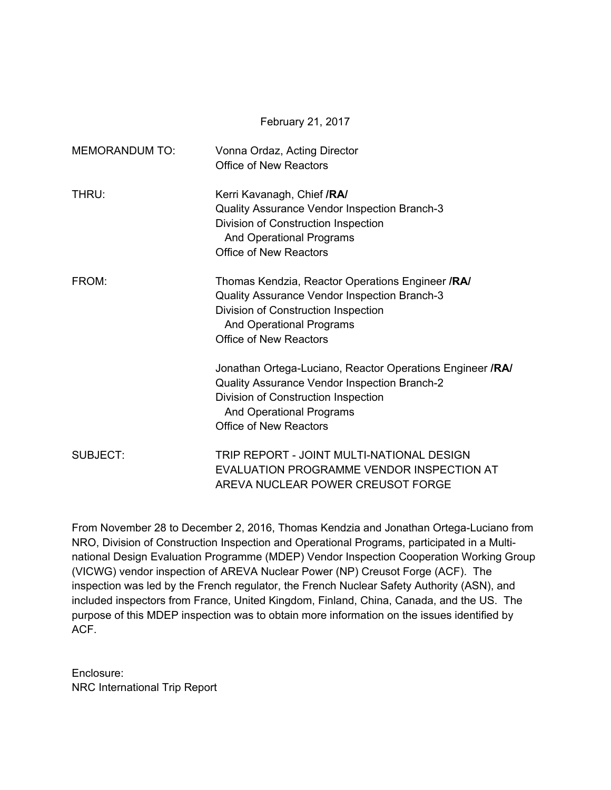February 21, 2017

| <b>MEMORANDUM TO:</b> | Vonna Ordaz, Acting Director<br>Office of New Reactors                                                                                                                                                               |
|-----------------------|----------------------------------------------------------------------------------------------------------------------------------------------------------------------------------------------------------------------|
| THRU:                 | Kerri Kavanagh, Chief /RA/<br>Quality Assurance Vendor Inspection Branch-3<br>Division of Construction Inspection<br><b>And Operational Programs</b><br><b>Office of New Reactors</b>                                |
| FROM:                 | Thomas Kendzia, Reactor Operations Engineer /RA/<br>Quality Assurance Vendor Inspection Branch-3<br>Division of Construction Inspection<br><b>And Operational Programs</b><br>Office of New Reactors                 |
|                       | Jonathan Ortega-Luciano, Reactor Operations Engineer /RA/<br>Quality Assurance Vendor Inspection Branch-2<br>Division of Construction Inspection<br><b>And Operational Programs</b><br><b>Office of New Reactors</b> |
| <b>SUBJECT:</b>       | TRIP REPORT - JOINT MULTI-NATIONAL DESIGN<br>EVALUATION PROGRAMME VENDOR INSPECTION AT<br>AREVA NUCLEAR POWER CREUSOT FORGE                                                                                          |

From November 28 to December 2, 2016, Thomas Kendzia and Jonathan Ortega-Luciano from NRO, Division of Construction Inspection and Operational Programs, participated in a Multinational Design Evaluation Programme (MDEP) Vendor Inspection Cooperation Working Group (VICWG) vendor inspection of AREVA Nuclear Power (NP) Creusot Forge (ACF). The inspection was led by the French regulator, the French Nuclear Safety Authority (ASN), and included inspectors from France, United Kingdom, Finland, China, Canada, and the US. The purpose of this MDEP inspection was to obtain more information on the issues identified by ACF.

Enclosure: NRC International Trip Report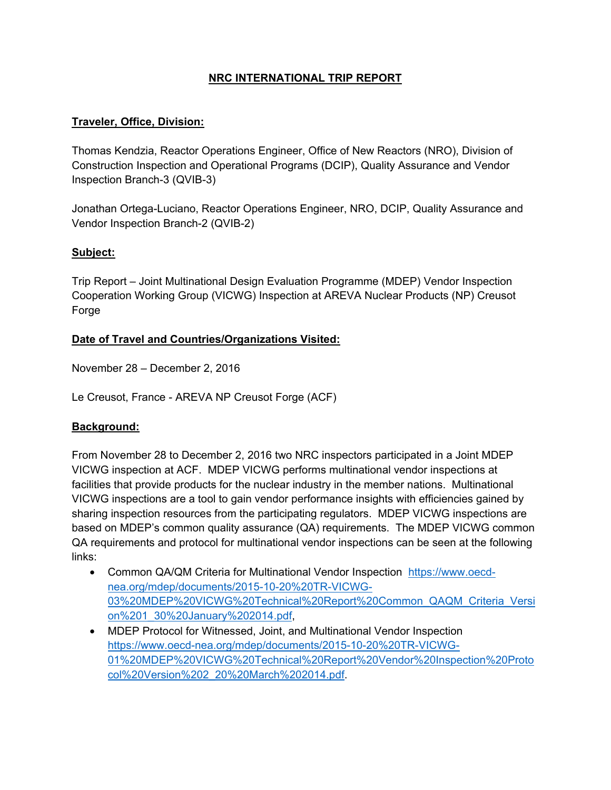# **NRC INTERNATIONAL TRIP REPORT**

## **Traveler, Office, Division:**

Thomas Kendzia, Reactor Operations Engineer, Office of New Reactors (NRO), Division of Construction Inspection and Operational Programs (DCIP), Quality Assurance and Vendor Inspection Branch-3 (QVIB-3)

Jonathan Ortega-Luciano, Reactor Operations Engineer, NRO, DCIP, Quality Assurance and Vendor Inspection Branch-2 (QVIB-2)

## **Subject:**

Trip Report – Joint Multinational Design Evaluation Programme (MDEP) Vendor Inspection Cooperation Working Group (VICWG) Inspection at AREVA Nuclear Products (NP) Creusot Forge

## **Date of Travel and Countries/Organizations Visited:**

November 28 – December 2, 2016

Le Creusot, France - AREVA NP Creusot Forge (ACF)

### **Background:**

From November 28 to December 2, 2016 two NRC inspectors participated in a Joint MDEP VICWG inspection at ACF. MDEP VICWG performs multinational vendor inspections at facilities that provide products for the nuclear industry in the member nations. Multinational VICWG inspections are a tool to gain vendor performance insights with efficiencies gained by sharing inspection resources from the participating regulators. MDEP VICWG inspections are based on MDEP's common quality assurance (QA) requirements. The MDEP VICWG common QA requirements and protocol for multinational vendor inspections can be seen at the following links:

- Common QA/QM Criteria for Multinational Vendor Inspection https://www.oecdnea.org/mdep/documents/2015-10-20%20TR-VICWG-03%20MDEP%20VICWG%20Technical%20Report%20Common\_QAQM\_Criteria\_Versi on%201\_30%20January%202014.pdf,
- MDEP Protocol for Witnessed, Joint, and Multinational Vendor Inspection https://www.oecd-nea.org/mdep/documents/2015-10-20%20TR-VICWG-01%20MDEP%20VICWG%20Technical%20Report%20Vendor%20Inspection%20Proto col%20Version%202\_20%20March%202014.pdf.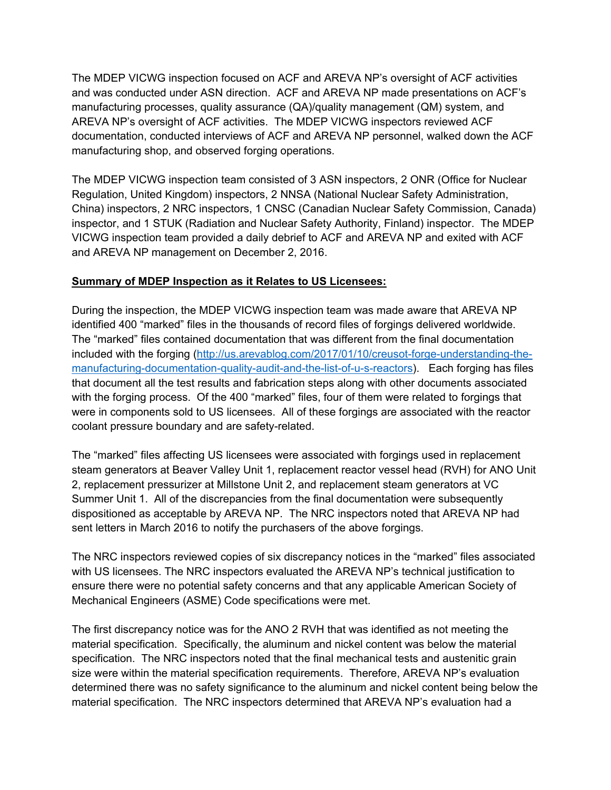The MDEP VICWG inspection focused on ACF and AREVA NP's oversight of ACF activities and was conducted under ASN direction. ACF and AREVA NP made presentations on ACF's manufacturing processes, quality assurance (QA)/quality management (QM) system, and AREVA NP's oversight of ACF activities. The MDEP VICWG inspectors reviewed ACF documentation, conducted interviews of ACF and AREVA NP personnel, walked down the ACF manufacturing shop, and observed forging operations.

The MDEP VICWG inspection team consisted of 3 ASN inspectors, 2 ONR (Office for Nuclear Regulation, United Kingdom) inspectors, 2 NNSA (National Nuclear Safety Administration, China) inspectors, 2 NRC inspectors, 1 CNSC (Canadian Nuclear Safety Commission, Canada) inspector, and 1 STUK (Radiation and Nuclear Safety Authority, Finland) inspector. The MDEP VICWG inspection team provided a daily debrief to ACF and AREVA NP and exited with ACF and AREVA NP management on December 2, 2016.

### **Summary of MDEP Inspection as it Relates to US Licensees:**

During the inspection, the MDEP VICWG inspection team was made aware that AREVA NP identified 400 "marked" files in the thousands of record files of forgings delivered worldwide. The "marked" files contained documentation that was different from the final documentation included with the forging (http://us.arevablog.com/2017/01/10/creusot-forge-understanding-themanufacturing-documentation-quality-audit-and-the-list-of-u-s-reactors). Each forging has files that document all the test results and fabrication steps along with other documents associated with the forging process. Of the 400 "marked" files, four of them were related to forgings that were in components sold to US licensees. All of these forgings are associated with the reactor coolant pressure boundary and are safety-related.

The "marked" files affecting US licensees were associated with forgings used in replacement steam generators at Beaver Valley Unit 1, replacement reactor vessel head (RVH) for ANO Unit 2, replacement pressurizer at Millstone Unit 2, and replacement steam generators at VC Summer Unit 1. All of the discrepancies from the final documentation were subsequently dispositioned as acceptable by AREVA NP. The NRC inspectors noted that AREVA NP had sent letters in March 2016 to notify the purchasers of the above forgings.

The NRC inspectors reviewed copies of six discrepancy notices in the "marked" files associated with US licensees. The NRC inspectors evaluated the AREVA NP's technical justification to ensure there were no potential safety concerns and that any applicable American Society of Mechanical Engineers (ASME) Code specifications were met.

The first discrepancy notice was for the ANO 2 RVH that was identified as not meeting the material specification. Specifically, the aluminum and nickel content was below the material specification. The NRC inspectors noted that the final mechanical tests and austenitic grain size were within the material specification requirements. Therefore, AREVA NP's evaluation determined there was no safety significance to the aluminum and nickel content being below the material specification. The NRC inspectors determined that AREVA NP's evaluation had a